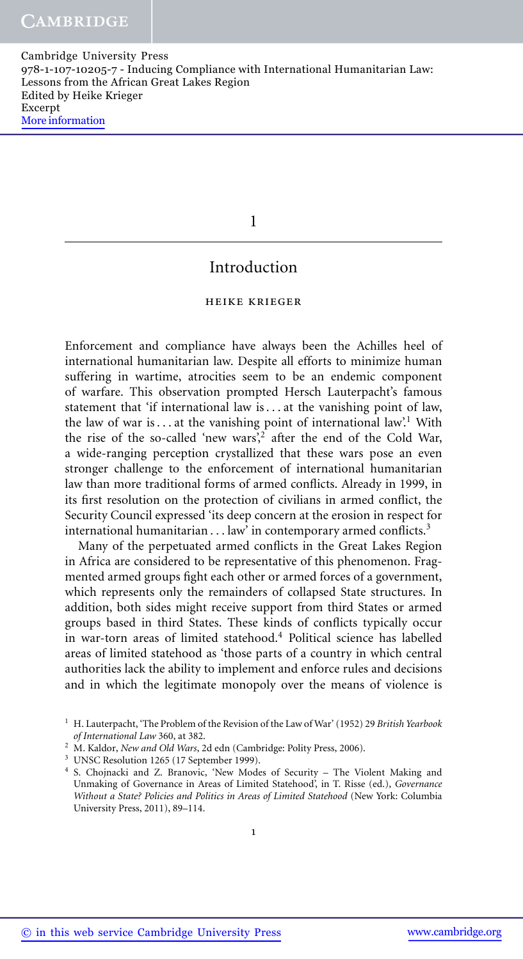1

# Introduction

# heike krieger

Enforcement and compliance have always been the Achilles heel of international humanitarian law. Despite all efforts to minimize human suffering in wartime, atrocities seem to be an endemic component of warfare. This observation prompted Hersch Lauterpacht's famous statement that 'if international law is . . . at the vanishing point of law, the law of war is  $\dots$  at the vanishing point of international law'.<sup>1</sup> With the rise of the so-called 'new wars',<sup>2</sup> after the end of the Cold War, a wide-ranging perception crystallized that these wars pose an even stronger challenge to the enforcement of international humanitarian law than more traditional forms of armed conflicts. Already in 1999, in its first resolution on the protection of civilians in armed conflict, the Security Council expressed 'its deep concern at the erosion in respect for international humanitarian . . . law' in contemporary armed conflicts.<sup>3</sup>

Many of the perpetuated armed conflicts in the Great Lakes Region in Africa are considered to be representative of this phenomenon. Fragmented armed groups fight each other or armed forces of a government, which represents only the remainders of collapsed State structures. In addition, both sides might receive support from third States or armed groups based in third States. These kinds of conflicts typically occur in war-torn areas of limited statehood.<sup>4</sup> Political science has labelled areas of limited statehood as 'those parts of a country in which central authorities lack the ability to implement and enforce rules and decisions and in which the legitimate monopoly over the means of violence is

<sup>1</sup> H. Lauterpacht, 'The Problem of the Revision of the Law of War' (1952) 29 *British Yearbook of International Law* 360, at 382.

<sup>2</sup> M. Kaldor, *New and Old Wars*, 2d edn (Cambridge: Polity Press, 2006).

<sup>3</sup> UNSC Resolution 1265 (17 September 1999).

<sup>4</sup> S. Chojnacki and Z. Branovic, 'New Modes of Security – The Violent Making and Unmaking of Governance in Areas of Limited Statehood', in T. Risse (ed.), *Governance Without a State? Policies and Politics in Areas of Limited Statehood* (New York: Columbia University Press, 2011), 89–114.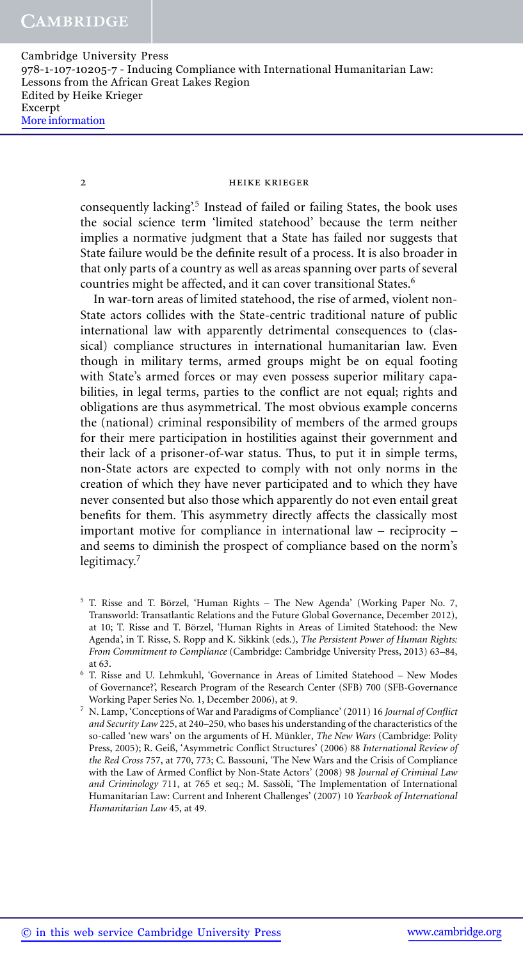#### 2 **heike krieger**

consequently lacking'.<sup>5</sup> Instead of failed or failing States, the book uses the social science term 'limited statehood' because the term neither implies a normative judgment that a State has failed nor suggests that State failure would be the definite result of a process. It is also broader in that only parts of a country as well as areas spanning over parts of several countries might be affected, and it can cover transitional States.<sup>6</sup>

In war-torn areas of limited statehood, the rise of armed, violent non-State actors collides with the State-centric traditional nature of public international law with apparently detrimental consequences to (classical) compliance structures in international humanitarian law. Even though in military terms, armed groups might be on equal footing with State's armed forces or may even possess superior military capabilities, in legal terms, parties to the conflict are not equal; rights and obligations are thus asymmetrical. The most obvious example concerns the (national) criminal responsibility of members of the armed groups for their mere participation in hostilities against their government and their lack of a prisoner-of-war status. Thus, to put it in simple terms, non-State actors are expected to comply with not only norms in the creation of which they have never participated and to which they have never consented but also those which apparently do not even entail great benefits for them. This asymmetry directly affects the classically most important motive for compliance in international law – reciprocity – and seems to diminish the prospect of compliance based on the norm's legitimacy.<sup>7</sup>

 $5$  T. Risse and T. Börzel, 'Human Rights – The New Agenda' (Working Paper No. 7, Transworld: Transatlantic Relations and the Future Global Governance, December 2012), at 10; T. Risse and T. Börzel, 'Human Rights in Areas of Limited Statehood: the New Agenda', in T. Risse, S. Ropp and K. Sikkink (eds.), *The Persistent Power of Human Rights: From Commitment to Compliance* (Cambridge: Cambridge University Press, 2013) 63–84, at 63.

<sup>6</sup> T. Risse and U. Lehmkuhl, 'Governance in Areas of Limited Statehood – New Modes of Governance?', Research Program of the Research Center (SFB) 700 (SFB-Governance Working Paper Series No. 1, December 2006), at 9.

<sup>7</sup> N. Lamp, 'Conceptions of War and Paradigms of Compliance' (2011) 16 *Journal of Conflict and Security Law* 225, at 240–250, who bases his understanding of the characteristics of the so-called 'new wars' on the arguments of H. Münkler, *The New Wars* (Cambridge: Polity Press, 2005); R. Geiß, 'Asymmetric Conflict Structures' (2006) 88 *International Review of the Red Cross* 757, at 770, 773; C. Bassouni, 'The New Wars and the Crisis of Compliance with the Law of Armed Conflict by Non-State Actors' (2008) 98 *Journal of Criminal Law and Criminology* 711, at 765 et seq.; M. Sassoli, 'The Implementation of International ` Humanitarian Law: Current and Inherent Challenges' (2007) 10 *Yearbook of International Humanitarian Law* 45, at 49.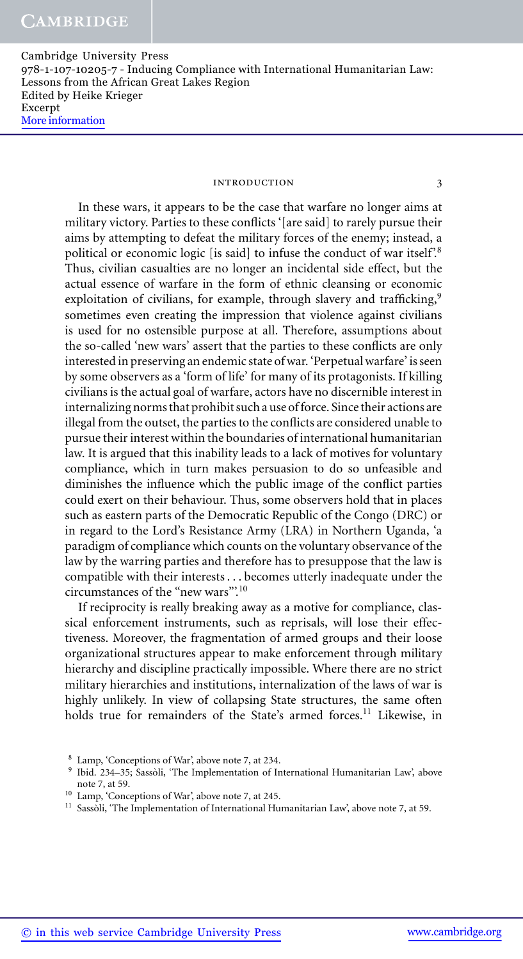## introduction 3

In these wars, it appears to be the case that warfare no longer aims at military victory. Parties to these conflicts '[are said] to rarely pursue their aims by attempting to defeat the military forces of the enemy; instead, a political or economic logic [is said] to infuse the conduct of war itself.<sup>8</sup> Thus, civilian casualties are no longer an incidental side effect, but the actual essence of warfare in the form of ethnic cleansing or economic exploitation of civilians, for example, through slavery and trafficking,<sup>9</sup> sometimes even creating the impression that violence against civilians is used for no ostensible purpose at all. Therefore, assumptions about the so-called 'new wars' assert that the parties to these conflicts are only interested in preserving an endemic state of war. 'Perpetual warfare' is seen by some observers as a 'form of life' for many of its protagonists. If killing civilians is the actual goal of warfare, actors have no discernible interest in internalizing norms that prohibit such a use of force. Since their actions are illegal from the outset, the parties to the conflicts are considered unable to pursue their interest within the boundaries of international humanitarian law. It is argued that this inability leads to a lack of motives for voluntary compliance, which in turn makes persuasion to do so unfeasible and diminishes the influence which the public image of the conflict parties could exert on their behaviour. Thus, some observers hold that in places such as eastern parts of the Democratic Republic of the Congo (DRC) or in regard to the Lord's Resistance Army (LRA) in Northern Uganda, 'a paradigm of compliance which counts on the voluntary observance of the law by the warring parties and therefore has to presuppose that the law is compatible with their interests . . . becomes utterly inadequate under the circumstances of the "new wars".<sup>10</sup>

If reciprocity is really breaking away as a motive for compliance, classical enforcement instruments, such as reprisals, will lose their effectiveness. Moreover, the fragmentation of armed groups and their loose organizational structures appear to make enforcement through military hierarchy and discipline practically impossible. Where there are no strict military hierarchies and institutions, internalization of the laws of war is highly unlikely. In view of collapsing State structures, the same often holds true for remainders of the State's armed forces.<sup>11</sup> Likewise, in

- <sup>9</sup> Ibid. 234–35; Sassòli, 'The Implementation of International Humanitarian Law', above note 7, at 59.
- <sup>10</sup> Lamp, 'Conceptions of War', above note 7, at 245.
- $11$  Sassoli, 'The Implementation of International Humanitarian Law', above note 7, at 59.

<sup>8</sup> Lamp, 'Conceptions of War', above note 7, at 234.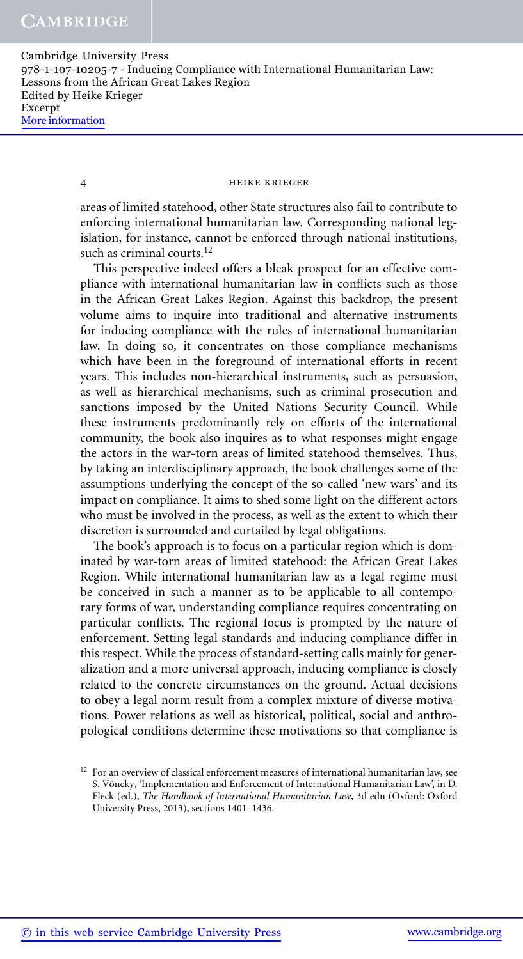## 4 heike krieger

areas of limited statehood, other State structures also fail to contribute to enforcing international humanitarian law. Corresponding national legislation, for instance, cannot be enforced through national institutions, such as criminal courts.<sup>12</sup>

This perspective indeed offers a bleak prospect for an effective compliance with international humanitarian law in conflicts such as those in the African Great Lakes Region. Against this backdrop, the present volume aims to inquire into traditional and alternative instruments for inducing compliance with the rules of international humanitarian law. In doing so, it concentrates on those compliance mechanisms which have been in the foreground of international efforts in recent years. This includes non-hierarchical instruments, such as persuasion, as well as hierarchical mechanisms, such as criminal prosecution and sanctions imposed by the United Nations Security Council. While these instruments predominantly rely on efforts of the international community, the book also inquires as to what responses might engage the actors in the war-torn areas of limited statehood themselves. Thus, by taking an interdisciplinary approach, the book challenges some of the assumptions underlying the concept of the so-called 'new wars' and its impact on compliance. It aims to shed some light on the different actors who must be involved in the process, as well as the extent to which their discretion is surrounded and curtailed by legal obligations.

The book's approach is to focus on a particular region which is dominated by war-torn areas of limited statehood: the African Great Lakes Region. While international humanitarian law as a legal regime must be conceived in such a manner as to be applicable to all contemporary forms of war, understanding compliance requires concentrating on particular conflicts. The regional focus is prompted by the nature of enforcement. Setting legal standards and inducing compliance differ in this respect. While the process of standard-setting calls mainly for generalization and a more universal approach, inducing compliance is closely related to the concrete circumstances on the ground. Actual decisions to obey a legal norm result from a complex mixture of diverse motivations. Power relations as well as historical, political, social and anthropological conditions determine these motivations so that compliance is

 $^{12}\,$  For an overview of classical enforcement measures of international humanitarian law, see S. Vöneky, 'Implementation and Enforcement of International Humanitarian Law', in D. Fleck (ed.), *The Handbook of International Humanitarian Law*, 3d edn (Oxford: Oxford University Press, 2013), sections 1401–1436.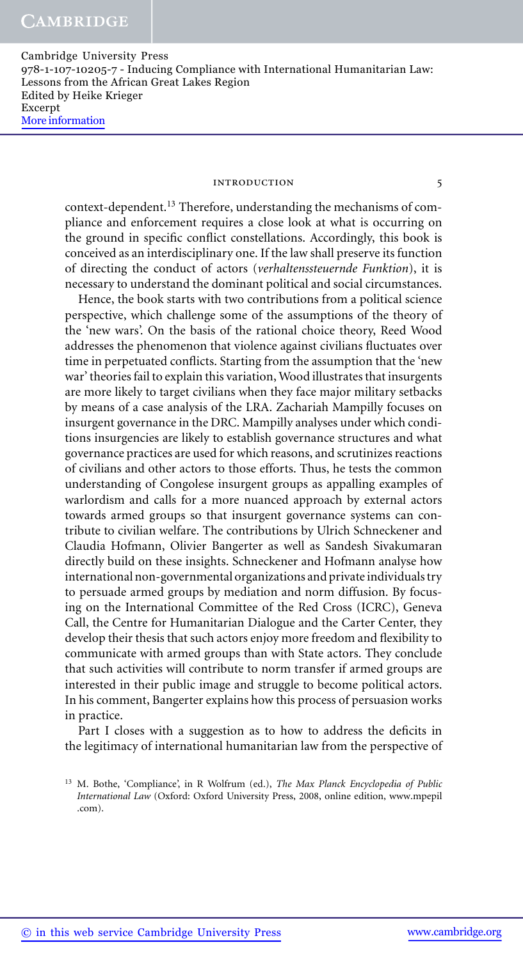## introduction 5

context-dependent.<sup>13</sup> Therefore, understanding the mechanisms of compliance and enforcement requires a close look at what is occurring on the ground in specific conflict constellations. Accordingly, this book is conceived as an interdisciplinary one. If the law shall preserve its function of directing the conduct of actors (*verhaltenssteuernde Funktion*), it is necessary to understand the dominant political and social circumstances.

Hence, the book starts with two contributions from a political science perspective, which challenge some of the assumptions of the theory of the 'new wars'. On the basis of the rational choice theory, Reed Wood addresses the phenomenon that violence against civilians fluctuates over time in perpetuated conflicts. Starting from the assumption that the 'new war' theories fail to explain this variation, Wood illustrates that insurgents are more likely to target civilians when they face major military setbacks by means of a case analysis of the LRA. Zachariah Mampilly focuses on insurgent governance in the DRC. Mampilly analyses under which conditions insurgencies are likely to establish governance structures and what governance practices are used for which reasons, and scrutinizes reactions of civilians and other actors to those efforts. Thus, he tests the common understanding of Congolese insurgent groups as appalling examples of warlordism and calls for a more nuanced approach by external actors towards armed groups so that insurgent governance systems can contribute to civilian welfare. The contributions by Ulrich Schneckener and Claudia Hofmann, Olivier Bangerter as well as Sandesh Sivakumaran directly build on these insights. Schneckener and Hofmann analyse how international non-governmental organizations and private individuals try to persuade armed groups by mediation and norm diffusion. By focusing on the International Committee of the Red Cross (ICRC), Geneva Call, the Centre for Humanitarian Dialogue and the Carter Center, they develop their thesis that such actors enjoy more freedom and flexibility to communicate with armed groups than with State actors. They conclude that such activities will contribute to norm transfer if armed groups are interested in their public image and struggle to become political actors. In his comment, Bangerter explains how this process of persuasion works in practice.

Part I closes with a suggestion as to how to address the deficits in the legitimacy of international humanitarian law from the perspective of

<sup>13</sup> M. Bothe, 'Compliance', in R Wolfrum (ed.), *The Max Planck Encyclopedia of Public International Law* (Oxford: Oxford University Press, 2008, online edition, www.mpepil .com).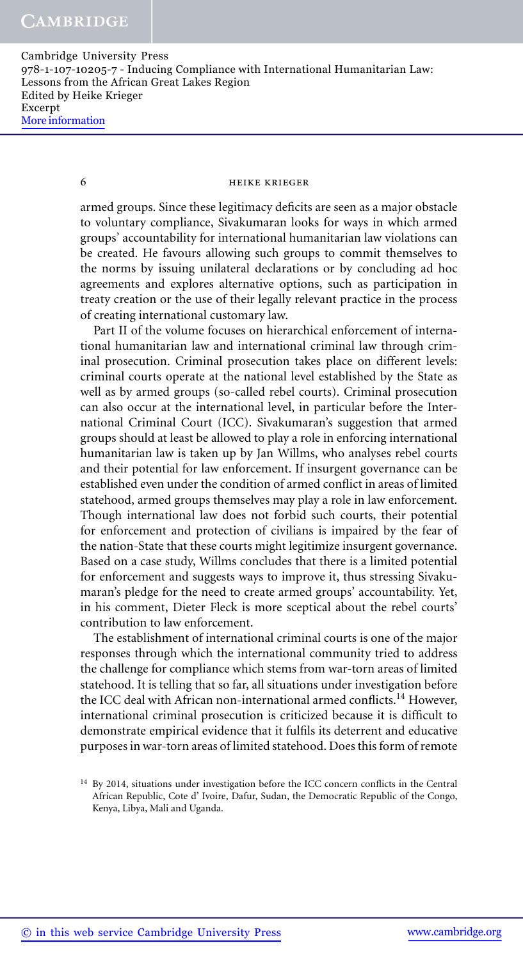#### 6 heike krieger

armed groups. Since these legitimacy deficits are seen as a major obstacle to voluntary compliance, Sivakumaran looks for ways in which armed groups' accountability for international humanitarian law violations can be created. He favours allowing such groups to commit themselves to the norms by issuing unilateral declarations or by concluding ad hoc agreements and explores alternative options, such as participation in treaty creation or the use of their legally relevant practice in the process of creating international customary law.

Part II of the volume focuses on hierarchical enforcement of international humanitarian law and international criminal law through criminal prosecution. Criminal prosecution takes place on different levels: criminal courts operate at the national level established by the State as well as by armed groups (so-called rebel courts). Criminal prosecution can also occur at the international level, in particular before the International Criminal Court (ICC). Sivakumaran's suggestion that armed groups should at least be allowed to play a role in enforcing international humanitarian law is taken up by Jan Willms, who analyses rebel courts and their potential for law enforcement. If insurgent governance can be established even under the condition of armed conflict in areas of limited statehood, armed groups themselves may play a role in law enforcement. Though international law does not forbid such courts, their potential for enforcement and protection of civilians is impaired by the fear of the nation-State that these courts might legitimize insurgent governance. Based on a case study, Willms concludes that there is a limited potential for enforcement and suggests ways to improve it, thus stressing Sivakumaran's pledge for the need to create armed groups' accountability. Yet, in his comment, Dieter Fleck is more sceptical about the rebel courts' contribution to law enforcement.

The establishment of international criminal courts is one of the major responses through which the international community tried to address the challenge for compliance which stems from war-torn areas of limited statehood. It is telling that so far, all situations under investigation before the ICC deal with African non-international armed conflicts.<sup>14</sup> However, international criminal prosecution is criticized because it is difficult to demonstrate empirical evidence that it fulfils its deterrent and educative purposes in war-torn areas of limited statehood. Does this form of remote

<sup>&</sup>lt;sup>14</sup> By 2014, situations under investigation before the ICC concern conflicts in the Central African Republic, Cote d' Ivoire, Dafur, Sudan, the Democratic Republic of the Congo, Kenya, Libya, Mali and Uganda.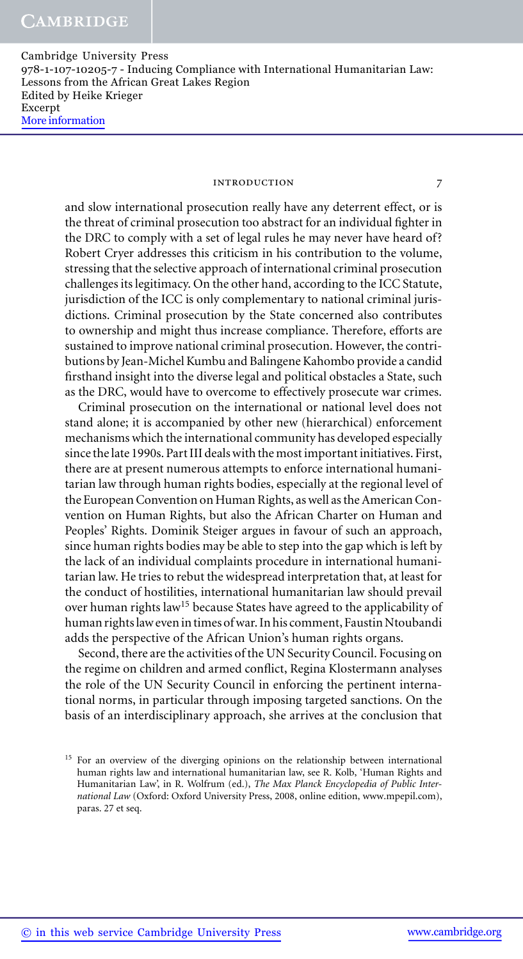#### introduction 7

and slow international prosecution really have any deterrent effect, or is the threat of criminal prosecution too abstract for an individual fighter in the DRC to comply with a set of legal rules he may never have heard of? Robert Cryer addresses this criticism in his contribution to the volume, stressing that the selective approach of international criminal prosecution challenges its legitimacy. On the other hand, according to the ICC Statute, jurisdiction of the ICC is only complementary to national criminal jurisdictions. Criminal prosecution by the State concerned also contributes to ownership and might thus increase compliance. Therefore, efforts are sustained to improve national criminal prosecution. However, the contributions by Jean-Michel Kumbu and Balingene Kahombo provide a candid firsthand insight into the diverse legal and political obstacles a State, such as the DRC, would have to overcome to effectively prosecute war crimes.

Criminal prosecution on the international or national level does not stand alone; it is accompanied by other new (hierarchical) enforcement mechanisms which the international community has developed especially since the late 1990s. Part III deals with the most important initiatives. First, there are at present numerous attempts to enforce international humanitarian law through human rights bodies, especially at the regional level of the European Convention on Human Rights, as well as the American Convention on Human Rights, but also the African Charter on Human and Peoples' Rights. Dominik Steiger argues in favour of such an approach, since human rights bodies may be able to step into the gap which is left by the lack of an individual complaints procedure in international humanitarian law. He tries to rebut the widespread interpretation that, at least for the conduct of hostilities, international humanitarian law should prevail over human rights law<sup>15</sup> because States have agreed to the applicability of human rights law even in times of war. In his comment, Faustin Ntoubandi adds the perspective of the African Union's human rights organs.

Second, there are the activities of the UN Security Council. Focusing on the regime on children and armed conflict, Regina Klostermann analyses the role of the UN Security Council in enforcing the pertinent international norms, in particular through imposing targeted sanctions. On the basis of an interdisciplinary approach, she arrives at the conclusion that

<sup>&</sup>lt;sup>15</sup> For an overview of the diverging opinions on the relationship between international human rights law and international humanitarian law, see R. Kolb, 'Human Rights and Humanitarian Law', in R. Wolfrum (ed.), *The Max Planck Encyclopedia of Public International Law* (Oxford: Oxford University Press, 2008, online edition, www.mpepil.com), paras. 27 et seq.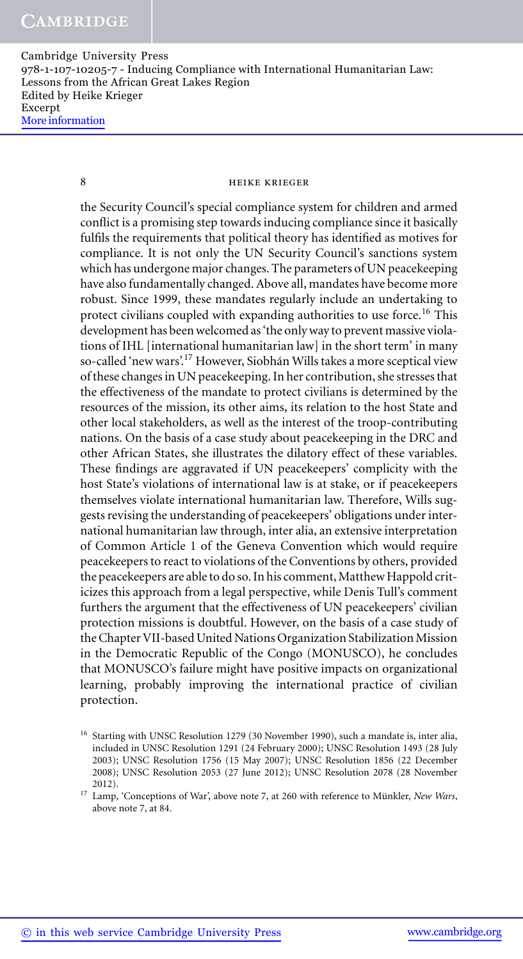# 8 **heike krieger**

the Security Council's special compliance system for children and armed conflict is a promising step towards inducing compliance since it basically fulfils the requirements that political theory has identified as motives for compliance. It is not only the UN Security Council's sanctions system which has undergone major changes. The parameters of UN peacekeeping have also fundamentally changed. Above all, mandates have become more robust. Since 1999, these mandates regularly include an undertaking to protect civilians coupled with expanding authorities to use force.<sup>16</sup> This development has been welcomed as 'the only way to prevent massive violations of IHL [international humanitarian law] in the short term' in many so-called 'new wars'.<sup>17</sup> However, Siobhán Wills takes a more sceptical view of these changes in UN peacekeeping. In her contribution, she stresses that the effectiveness of the mandate to protect civilians is determined by the resources of the mission, its other aims, its relation to the host State and other local stakeholders, as well as the interest of the troop-contributing nations. On the basis of a case study about peacekeeping in the DRC and other African States, she illustrates the dilatory effect of these variables. These findings are aggravated if UN peacekeepers' complicity with the host State's violations of international law is at stake, or if peacekeepers themselves violate international humanitarian law. Therefore, Wills suggests revising the understanding of peacekeepers' obligations under international humanitarian law through, inter alia, an extensive interpretation of Common Article 1 of the Geneva Convention which would require peacekeepers to react to violations of the Conventions by others, provided the peacekeepers are able to do so. In his comment, Matthew Happold criticizes this approach from a legal perspective, while Denis Tull's comment furthers the argument that the effectiveness of UN peacekeepers' civilian protection missions is doubtful. However, on the basis of a case study of the Chapter VII-based United Nations Organization Stabilization Mission in the Democratic Republic of the Congo (MONUSCO), he concludes that MONUSCO's failure might have positive impacts on organizational learning, probably improving the international practice of civilian protection.

<sup>&</sup>lt;sup>16</sup> Starting with UNSC Resolution 1279 (30 November 1990), such a mandate is, inter alia, included in UNSC Resolution 1291 (24 February 2000); UNSC Resolution 1493 (28 July 2003); UNSC Resolution 1756 (15 May 2007); UNSC Resolution 1856 (22 December 2008); UNSC Resolution 2053 (27 June 2012); UNSC Resolution 2078 (28 November 2012).

<sup>&</sup>lt;sup>17</sup> Lamp, 'Conceptions of War', above note 7, at 260 with reference to Münkler, New Wars, above note 7, at 84.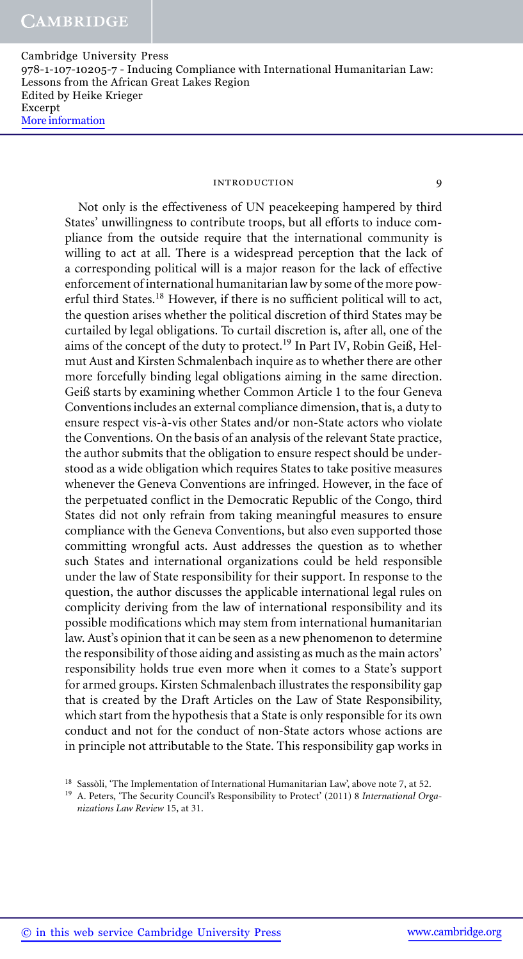## introduction 9

Not only is the effectiveness of UN peacekeeping hampered by third States' unwillingness to contribute troops, but all efforts to induce compliance from the outside require that the international community is willing to act at all. There is a widespread perception that the lack of a corresponding political will is a major reason for the lack of effective enforcement of international humanitarian law by some of the more powerful third States.<sup>18</sup> However, if there is no sufficient political will to act, the question arises whether the political discretion of third States may be curtailed by legal obligations. To curtail discretion is, after all, one of the aims of the concept of the duty to protect.<sup>19</sup> In Part IV, Robin Geiß, Helmut Aust and Kirsten Schmalenbach inquire as to whether there are other more forcefully binding legal obligations aiming in the same direction. Geiß starts by examining whether Common Article 1 to the four Geneva Conventions includes an external compliance dimension, that is, a duty to ensure respect vis-à-vis other States and/or non-State actors who violate the Conventions. On the basis of an analysis of the relevant State practice, the author submits that the obligation to ensure respect should be understood as a wide obligation which requires States to take positive measures whenever the Geneva Conventions are infringed. However, in the face of the perpetuated conflict in the Democratic Republic of the Congo, third States did not only refrain from taking meaningful measures to ensure compliance with the Geneva Conventions, but also even supported those committing wrongful acts. Aust addresses the question as to whether such States and international organizations could be held responsible under the law of State responsibility for their support. In response to the question, the author discusses the applicable international legal rules on complicity deriving from the law of international responsibility and its possible modifications which may stem from international humanitarian law. Aust's opinion that it can be seen as a new phenomenon to determine the responsibility of those aiding and assisting as much as the main actors' responsibility holds true even more when it comes to a State's support for armed groups. Kirsten Schmalenbach illustrates the responsibility gap that is created by the Draft Articles on the Law of State Responsibility, which start from the hypothesis that a State is only responsible for its own conduct and not for the conduct of non-State actors whose actions are in principle not attributable to the State. This responsibility gap works in

 $18$  Sassòli, 'The Implementation of International Humanitarian Law', above note 7, at 52.

<sup>19</sup> A. Peters, 'The Security Council's Responsibility to Protect' (2011) 8 *International Organizations Law Review* 15, at 31.